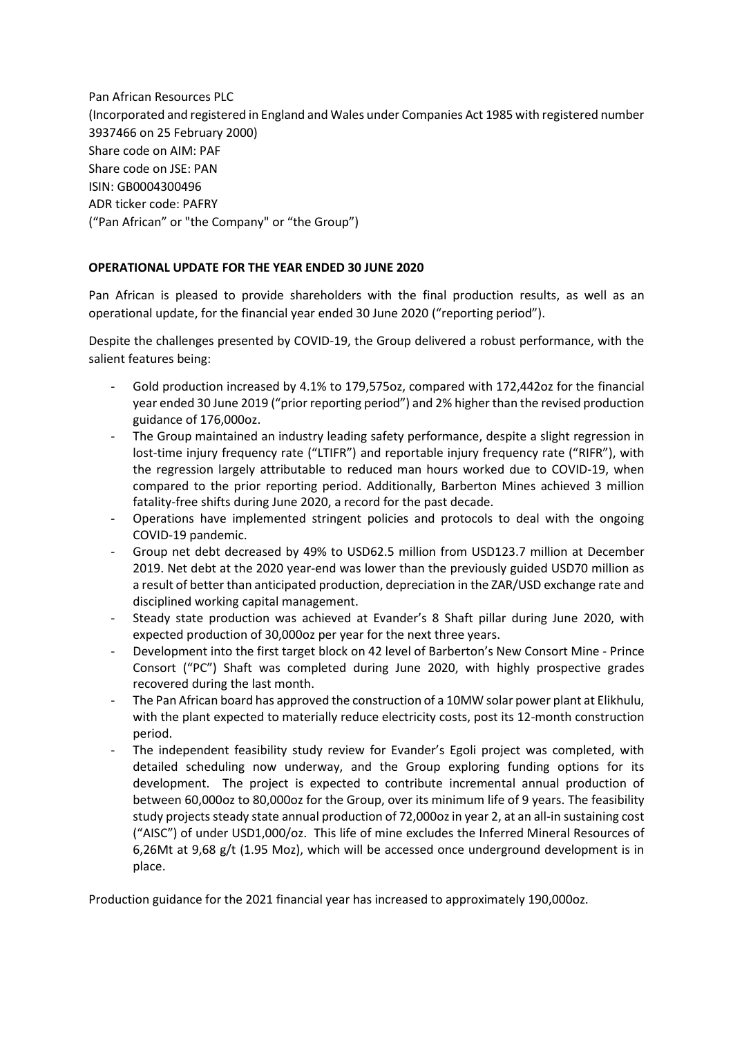Pan African Resources PLC (Incorporated and registered in England and Wales under Companies Act 1985 with registered number 3937466 on 25 February 2000) Share code on AIM: PAF Share code on JSE: PAN ISIN: GB0004300496 ADR ticker code: PAFRY ("Pan African" or "the Company" or "the Group")

# **OPERATIONAL UPDATE FOR THE YEAR ENDED 30 JUNE 2020**

Pan African is pleased to provide shareholders with the final production results, as well as an operational update, for the financial year ended 30 June 2020 ("reporting period").

Despite the challenges presented by COVID-19, the Group delivered a robust performance, with the salient features being:

- Gold production increased by 4.1% to 179,575oz, compared with 172,442oz for the financial year ended 30 June 2019 ("prior reporting period") and 2% higher than the revised production guidance of 176,000oz.
- The Group maintained an industry leading safety performance, despite a slight regression in lost-time injury frequency rate ("LTIFR") and reportable injury frequency rate ("RIFR"), with the regression largely attributable to reduced man hours worked due to COVID-19, when compared to the prior reporting period. Additionally, Barberton Mines achieved 3 million fatality-free shifts during June 2020, a record for the past decade.
- Operations have implemented stringent policies and protocols to deal with the ongoing COVID-19 pandemic.
- Group net debt decreased by 49% to USD62.5 million from USD123.7 million at December 2019. Net debt at the 2020 year-end was lower than the previously guided USD70 million as a result of better than anticipated production, depreciation in the ZAR/USD exchange rate and disciplined working capital management.
- Steady state production was achieved at Evander's 8 Shaft pillar during June 2020, with expected production of 30,000oz per year for the next three years.
- Development into the first target block on 42 level of Barberton's New Consort Mine Prince Consort ("PC") Shaft was completed during June 2020, with highly prospective grades recovered during the last month.
- The Pan African board has approved the construction of a 10MW solar power plant at Elikhulu, with the plant expected to materially reduce electricity costs, post its 12-month construction period.
- The independent feasibility study review for Evander's Egoli project was completed, with detailed scheduling now underway, and the Group exploring funding options for its development. The project is expected to contribute incremental annual production of between 60,000oz to 80,000oz for the Group, over its minimum life of 9 years. The feasibility study projects steady state annual production of 72,000oz in year 2, at an all-in sustaining cost ("AISC") of under USD1,000/oz. This life of mine excludes the Inferred Mineral Resources of 6,26Mt at 9,68 g/t (1.95 Moz), which will be accessed once underground development is in place.

Production guidance for the 2021 financial year has increased to approximately 190,000oz.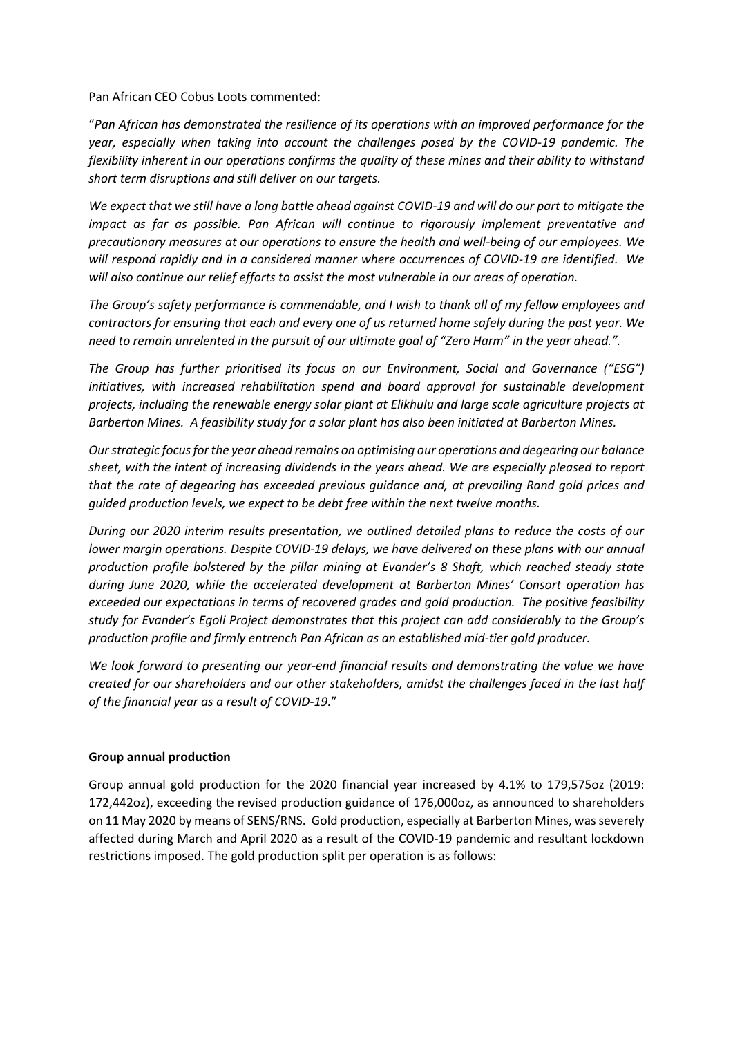Pan African CEO Cobus Loots commented:

"*Pan African has demonstrated the resilience of its operations with an improved performance for the year, especially when taking into account the challenges posed by the COVID-19 pandemic. The flexibility inherent in our operations confirms the quality of these mines and their ability to withstand short term disruptions and still deliver on our targets.*

*We expect that we still have a long battle ahead against COVID-19 and will do our part to mitigate the impact as far as possible. Pan African will continue to rigorously implement preventative and precautionary measures at our operations to ensure the health and well-being of our employees. We will respond rapidly and in a considered manner where occurrences of COVID-19 are identified. We will also continue our relief efforts to assist the most vulnerable in our areas of operation.* 

*The Group's safety performance is commendable, and I wish to thank all of my fellow employees and contractors for ensuring that each and every one of us returned home safely during the past year. We need to remain unrelented in the pursuit of our ultimate goal of "Zero Harm" in the year ahead.".* 

*The Group has further prioritised its focus on our Environment, Social and Governance ("ESG") initiatives, with increased rehabilitation spend and board approval for sustainable development projects, including the renewable energy solar plant at Elikhulu and large scale agriculture projects at Barberton Mines. A feasibility study for a solar plant has also been initiated at Barberton Mines.*

*Our strategic focus for the year ahead remains on optimising our operations and degearing our balance sheet, with the intent of increasing dividends in the years ahead. We are especially pleased to report that the rate of degearing has exceeded previous guidance and, at prevailing Rand gold prices and guided production levels, we expect to be debt free within the next twelve months.* 

*During our 2020 interim results presentation, we outlined detailed plans to reduce the costs of our lower margin operations. Despite COVID-19 delays, we have delivered on these plans with our annual production profile bolstered by the pillar mining at Evander's 8 Shaft, which reached steady state during June 2020, while the accelerated development at Barberton Mines' Consort operation has exceeded our expectations in terms of recovered grades and gold production. The positive feasibility study for Evander's Egoli Project demonstrates that this project can add considerably to the Group's production profile and firmly entrench Pan African as an established mid-tier gold producer.* 

*We look forward to presenting our year-end financial results and demonstrating the value we have created for our shareholders and our other stakeholders, amidst the challenges faced in the last half of the financial year as a result of COVID-19.*"

### **Group annual production**

Group annual gold production for the 2020 financial year increased by 4.1% to 179,575oz (2019: 172,442oz), exceeding the revised production guidance of 176,000oz, as announced to shareholders on 11 May 2020 by means of SENS/RNS. Gold production, especially at Barberton Mines, was severely affected during March and April 2020 as a result of the COVID-19 pandemic and resultant lockdown restrictions imposed. The gold production split per operation is as follows: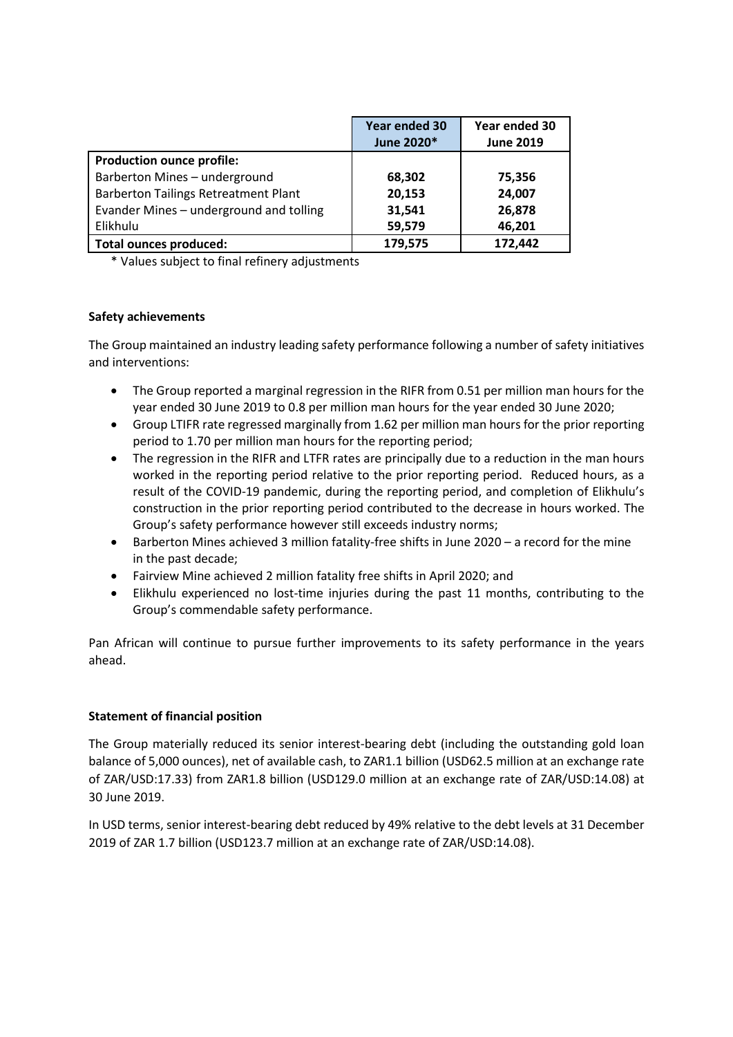|                                             | <b>Year ended 30</b><br>June 2020* | Year ended 30<br><b>June 2019</b> |
|---------------------------------------------|------------------------------------|-----------------------------------|
| <b>Production ounce profile:</b>            |                                    |                                   |
| Barberton Mines - underground               | 68,302                             | 75,356                            |
| <b>Barberton Tailings Retreatment Plant</b> | 20,153                             | 24,007                            |
| Evander Mines - underground and tolling     | 31,541                             | 26,878                            |
| Elikhulu                                    | 59,579                             | 46,201                            |
| <b>Total ounces produced:</b>               | 179,575                            | 172,442                           |

\* Values subject to final refinery adjustments

# **Safety achievements**

The Group maintained an industry leading safety performance following a number of safety initiatives and interventions:

- The Group reported a marginal regression in the RIFR from 0.51 per million man hours for the year ended 30 June 2019 to 0.8 per million man hours for the year ended 30 June 2020;
- Group LTIFR rate regressed marginally from 1.62 per million man hours for the prior reporting period to 1.70 per million man hours for the reporting period;
- The regression in the RIFR and LTFR rates are principally due to a reduction in the man hours worked in the reporting period relative to the prior reporting period. Reduced hours, as a result of the COVID-19 pandemic, during the reporting period, and completion of Elikhulu's construction in the prior reporting period contributed to the decrease in hours worked. The Group's safety performance however still exceeds industry norms;
- Barberton Mines achieved 3 million fatality-free shifts in June 2020 a record for the mine in the past decade;
- Fairview Mine achieved 2 million fatality free shifts in April 2020; and
- Elikhulu experienced no lost-time injuries during the past 11 months, contributing to the Group's commendable safety performance.

Pan African will continue to pursue further improvements to its safety performance in the years ahead.

# **Statement of financial position**

The Group materially reduced its senior interest-bearing debt (including the outstanding gold loan balance of 5,000 ounces), net of available cash, to ZAR1.1 billion (USD62.5 million at an exchange rate of ZAR/USD:17.33) from ZAR1.8 billion (USD129.0 million at an exchange rate of ZAR/USD:14.08) at 30 June 2019.

In USD terms, senior interest-bearing debt reduced by 49% relative to the debt levels at 31 December 2019 of ZAR 1.7 billion (USD123.7 million at an exchange rate of ZAR/USD:14.08).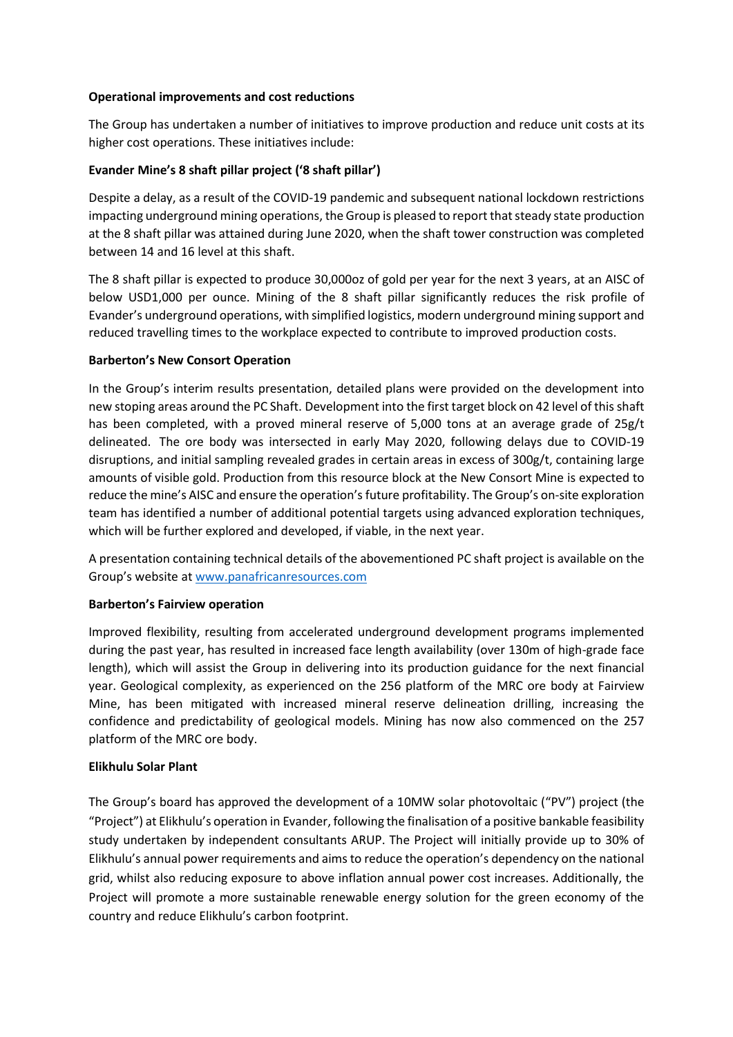## **Operational improvements and cost reductions**

The Group has undertaken a number of initiatives to improve production and reduce unit costs at its higher cost operations. These initiatives include:

# **Evander Mine's 8 shaft pillar project ('8 shaft pillar')**

Despite a delay, as a result of the COVID-19 pandemic and subsequent national lockdown restrictions impacting underground mining operations, the Group is pleased to report that steady state production at the 8 shaft pillar was attained during June 2020, when the shaft tower construction was completed between 14 and 16 level at this shaft.

The 8 shaft pillar is expected to produce 30,000oz of gold per year for the next 3 years, at an AISC of below USD1,000 per ounce. Mining of the 8 shaft pillar significantly reduces the risk profile of Evander's underground operations, with simplified logistics, modern underground mining support and reduced travelling times to the workplace expected to contribute to improved production costs.

### **Barberton's New Consort Operation**

In the Group's interim results presentation, detailed plans were provided on the development into new stoping areas around the PC Shaft. Development into the first target block on 42 level of this shaft has been completed, with a proved mineral reserve of 5,000 tons at an average grade of 25g/t delineated. The ore body was intersected in early May 2020, following delays due to COVID-19 disruptions, and initial sampling revealed grades in certain areas in excess of 300g/t, containing large amounts of visible gold. Production from this resource block at the New Consort Mine is expected to reduce the mine's AISC and ensure the operation's future profitability. The Group's on-site exploration team has identified a number of additional potential targets using advanced exploration techniques, which will be further explored and developed, if viable, in the next year.

A presentation containing technical details of the abovementioned PC shaft project is available on the Group's website a[t www.panafricanresources.com](http://www.panafricanresources.com/)

### **Barberton's Fairview operation**

Improved flexibility, resulting from accelerated underground development programs implemented during the past year, has resulted in increased face length availability (over 130m of high-grade face length), which will assist the Group in delivering into its production guidance for the next financial year. Geological complexity, as experienced on the 256 platform of the MRC ore body at Fairview Mine, has been mitigated with increased mineral reserve delineation drilling, increasing the confidence and predictability of geological models. Mining has now also commenced on the 257 platform of the MRC ore body.

### **Elikhulu Solar Plant**

The Group's board has approved the development of a 10MW solar photovoltaic ("PV") project (the "Project") at Elikhulu's operation in Evander, following the finalisation of a positive bankable feasibility study undertaken by independent consultants ARUP. The Project will initially provide up to 30% of Elikhulu's annual power requirements and aims to reduce the operation's dependency on the national grid, whilst also reducing exposure to above inflation annual power cost increases. Additionally, the Project will promote a more sustainable renewable energy solution for the green economy of the country and reduce Elikhulu's carbon footprint.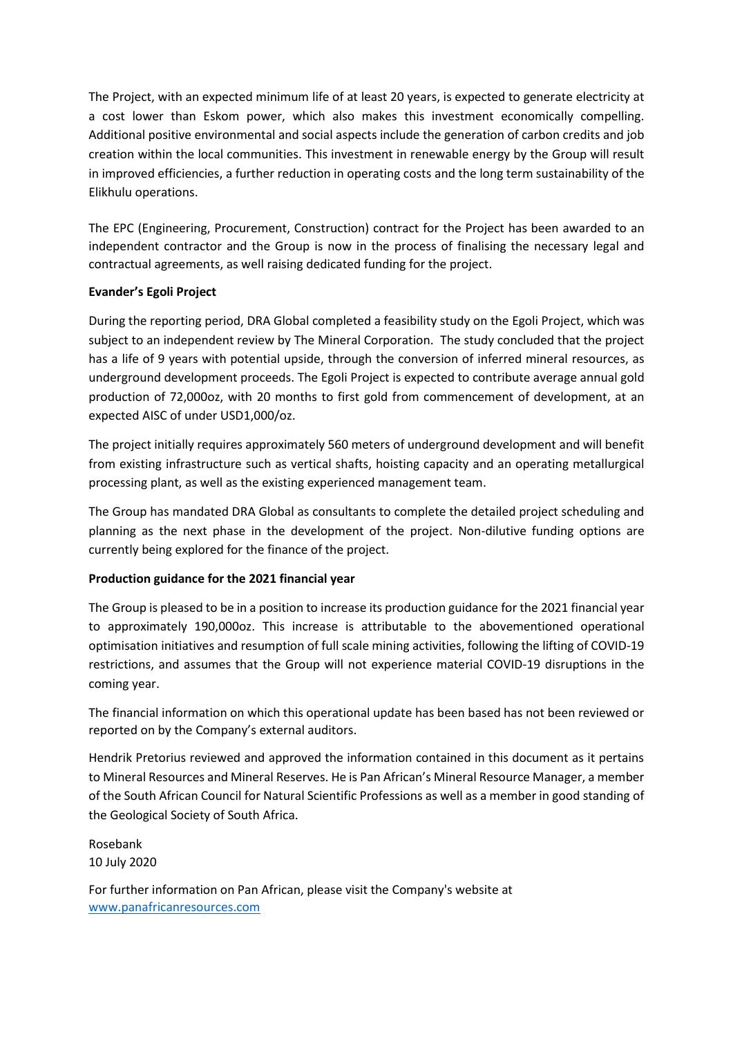The Project, with an expected minimum life of at least 20 years, is expected to generate electricity at a cost lower than Eskom power, which also makes this investment economically compelling. Additional positive environmental and social aspects include the generation of carbon credits and job creation within the local communities. This investment in renewable energy by the Group will result in improved efficiencies, a further reduction in operating costs and the long term sustainability of the Elikhulu operations.

The EPC (Engineering, Procurement, Construction) contract for the Project has been awarded to an independent contractor and the Group is now in the process of finalising the necessary legal and contractual agreements, as well raising dedicated funding for the project.

# **Evander's Egoli Project**

During the reporting period, DRA Global completed a feasibility study on the Egoli Project, which was subject to an independent review by The Mineral Corporation. The study concluded that the project has a life of 9 years with potential upside, through the conversion of inferred mineral resources, as underground development proceeds. The Egoli Project is expected to contribute average annual gold production of 72,000oz, with 20 months to first gold from commencement of development, at an expected AISC of under USD1,000/oz.

The project initially requires approximately 560 meters of underground development and will benefit from existing infrastructure such as vertical shafts, hoisting capacity and an operating metallurgical processing plant, as well as the existing experienced management team.

The Group has mandated DRA Global as consultants to complete the detailed project scheduling and planning as the next phase in the development of the project. Non-dilutive funding options are currently being explored for the finance of the project.

# **Production guidance for the 2021 financial year**

The Group is pleased to be in a position to increase its production guidance for the 2021 financial year to approximately 190,000oz. This increase is attributable to the abovementioned operational optimisation initiatives and resumption of full scale mining activities, following the lifting of COVID-19 restrictions, and assumes that the Group will not experience material COVID-19 disruptions in the coming year.

The financial information on which this operational update has been based has not been reviewed or reported on by the Company's external auditors.

Hendrik Pretorius reviewed and approved the information contained in this document as it pertains to Mineral Resources and Mineral Reserves. He is Pan African's Mineral Resource Manager, a member of the South African Council for Natural Scientific Professions as well as a member in good standing of the Geological Society of South Africa.

Rosebank 10 July 2020

For further information on Pan African, please visit the Company's website at [www.panafricanresources.com](http://www.panafricanresources.com/)